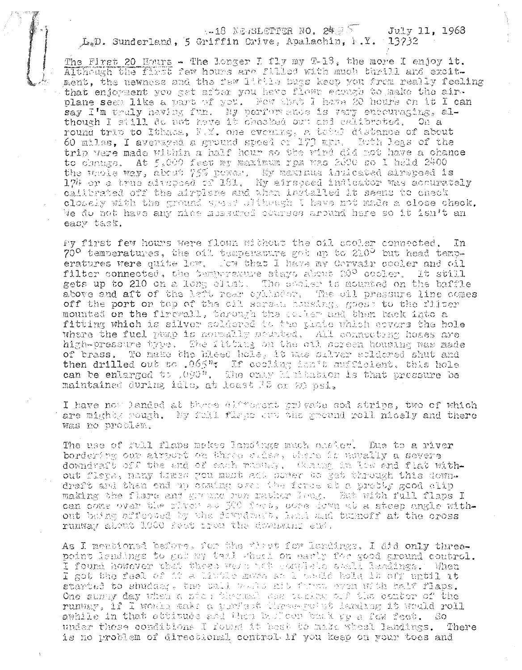#### $-18$  NEWSLETTER NO. 24.75 July 11, 1968 L.D. Sunderland, 5 Griffin Drive, Apalachin, N.Y. 13732

The First 20 Hours - The longer I fly my T-13, the more I enjoy it.<br>Although the first few hours are filled with much thrill and excitment, the newness and the few little bugs keep you from really feeling that enjoyment you get after you have flown ecough to make the airplane seen like a part of you. Now that I have 20 hours on it I can say I'm truly having fun. My performance is very encouraging, although I still do not have it checked out and calibroted. On a round trip to Ithacs, N.Y. one evening, a tetal distance of about 60 miles, I averaged a ground speed of 173 mph. Both leas of the trip were made within a half hour so the wind did not have a chance to change. At 5,000 feet my maximum rpm was 2000 so I hald 2400 the vhole way, about 75% power. My maximum indicated airspeed is 174 or a true aitspoed of 181. My airspeed indicator was accurately calibrated off the airplane and when ingtalled it seems to check closely with the ground spead slikeagh I have not made a close check. We do not have any nice measured courses around here so it isn't an easy task.

My first few hours were flown without the oil cooler connected,  $In$  $70^{\circ}$  temperatures, the oil temperature got ap to 210 $^{\circ}$  but head temperatures were quite low. Fow that I have my Corvair cooler and oil filter connected, the temperature stays about 20° cosler. It still gets up to 210 on a long climb. The cocher is mounted on the baffle above and aft of the left rear eyihnder. The sil pressure line comes off the port on top of the cil screen heasing, good; to the filter mounted on the firewall, through the coster and then back into a fitting which is silver soldered to the phate which ecvers the hole Where the fuel pump is normally nounted, All connecting hoses are high-pressure type. The fitting on the oil screen housing was made of brass. To make the bleed hole. it was silver spldored shut and then drilled out to .065"; If cooling isn't sufficient, this hole can be enlarged to .090". The cally Minitation is that pressure be maintained during idio, at loast 15 or 20 psi.

I have now landed at three difforent private sod strips, two of which are mights rough. My fail flaps out the ground roll nicely and there was no problem.

The use of full flaps meles landings much onside. Due to a river bordering our airport on three sides, there is nevally a severe downdraft off the and of each russey. Chaing in Low and flat without flers, many times you must add perer to get through this downdraft and then end up coming over the ferse at a pretty good clip making the flore and ground rom rather loug. But with full flaps I can come over the river as 500 feet, core down at a steep angle without buing affersed by the dewedness, head and turnoff at the oross runway about 1000 feet tree the downwing end.

As I neationed before, for the first few landings. I did only threepoint landings to get my tail wheel on early for good ground control. I found however that these weak not complete shall landings. When I got the feel of it a little more as 1 would bold it off until it started to shudder, the call would hit forms even with half flaps. One summy day when a nice thermal describing off the benter of the runway, 1f I would make a porfect these-polat landing it would roll amhile in that attitude and then bulloon buck yp a few feet. So under these conditions I found it heat to make wheel landings. There is no problem of directional control if you keep on your toes and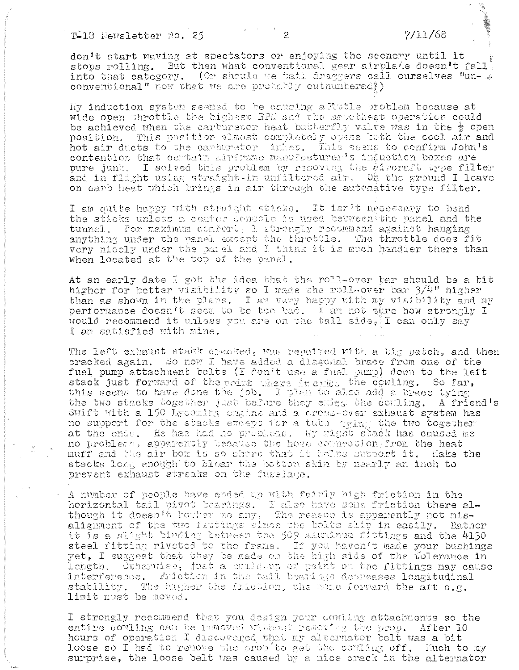don't start waving at spectators or enjoying the scenery until it stops rolling. But then what conventional gear airplate doesn't fall. into that category. (Or should we tail draggers call ourselves "unconventional" now that we are probably outnumbered?)

Hy induction system seemed to be causing a Rutle problem because at wide open throttle the highest RPU and the smoothest operation could be achieved when the carrierencr heat butterfly valve was in the  $\frac{1}{2}$  open position. This position almost completely opens both the cool air and hot air ducts to the carburetor inlet. This seems to confirm John's contention that certain airframe manufacturer's induction boxes are pure junk. I solved this problem by renoving the airoraft type filter and in flight using straight-in unfiltered air. On the ground I leave on earb heat which brings in air through the automative type filter.

I am quite happy with straight sticks. It isn't necessary to bend the sticks unless a center console is used between the panel and the tunnel. For maximum confort, 1 strongly recommend against hanging anything under the panel except the throttle. The throttle does fit very nicely under the parel and I think it is much handier there than when located at the top of the panel.

At an early date I got the idea that the roll-over bar should be a bit higher for better visibility so I made the roll-over bar 3/4" higher than as shown in the plans. I am very happy with my visibility and my performance doesn't seem to be too bad. I am not stre how strongly I would recommend it unless you are on the tall side. I can only say I am satisfied with mine.

The left exhaust statk cracked, was repaired with a big patch, and then cracked again. So now I have added a dlagonal brace from one of the fuel pump attachment bolts (I don't use a fuel pump) down to the left stack just forward of the noint where it atill. the cowling. So far, this seems to have done the job. I plan to also add a brace tying the two stacks together just before they exits the couling. A friend's Swift with a 150 Lycoming engine and a cross-over exhaust system has no support for the stacks exempt for a tube that the two together at the ends. He has had no problems. My right stack has caused me no problema, apparently because the hose connection from the heat muff and the air box is so short that it helps support it. Hake the stacks long enough to bicar the botton skin by nearly an inch to prevent exhaust streaks on the fuselage.

A number of people have ended up with fairly high friction in the horizontal tail pivot bearings. I also have some friction there al-<br>though it doesn't bother me any. The reason is apparently not misalignment of the two fluttings since the bolts slip in easily. Rather it is a slight binding between the 509 aduninum fittings and the 4130 steel fitting riveted to the frame. If you haven't made your bushings yet, I suggest that they be made on the high side of the tolerance in length. Otherwise, just a build-up of paint on the fittings may cause interference. Friction in the tail bearings depreases longitudinal stability. The higher the friction, the more forward the aft  $c.n$ . limit must be moved.

I strongly recommend that you design your cowling attachments so the entire cowling can be removed without removing the prop. After 10 hours of operation I discovered that my alternator belt was a bit loose so I had to remove the prop to get the coming off. Ruch to my surprise, the loose belt was caused by a nice crack in the alternator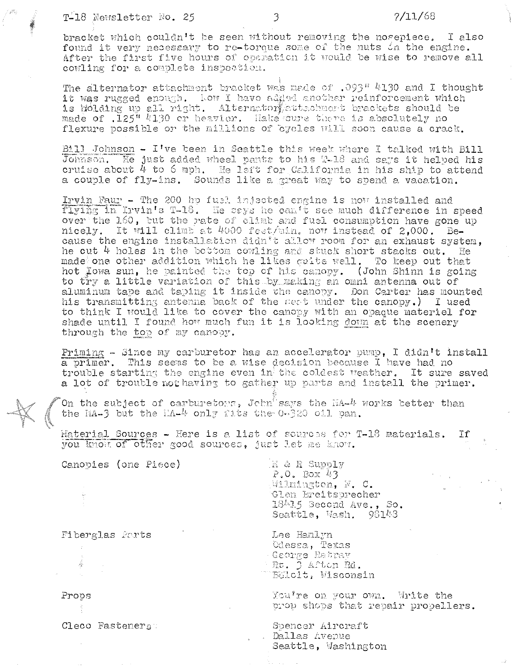The alternator attachment bracket was made of .093" 4130 and I thought it was rugged enough. Low I have added another reinforcement which is holding up all right. Alternators attachment brackets should be made of .125" 4130 or heavier. Hake sure there is absolutely no flexure possible or the millions of oycles will soon cause a crack.

Bill Johnson - I've been in Seattle this week where I talked with Bill Johnson. He just added wheel pants to his T-18 and says it helped his cruise about  $4$  to  $6$  mph. He left for California in his ship to attend a couple of fly-ins. Sounds like a great way to spend a vacation.

Irvin Faur - The 200 hp fuel injected engine is now installed and flying in Irvin's T-18. He says he can't see much difference in speed over the 160, but the rate of climb and fuel consumption have gone up nicely. It will climb at 4000 feet/min. now instead of 2,000. Because the engine installation didn't allow room for an exhaust system, he cut 4 holes in the bottom cowling and stuck short stacks out. He made one other addition which he likes cuite well. To keep out that hot lowa sun, he painted the top of his canopy. (John Shinn is going to try a little variation of this by making an omni antenna out of aluminum tape and taping it inside the canopy. Don Carter has mounted his transmitting antenna back of the seat under the canopy.) I used to think I would like to cover the canopy with an opaque materiel for shade until I found how much fun it is looking down at the scenery through the top of my canopy.

Priming - Since my carburetor has an accelerator pump, I didn't install a primer. This seems to be a wise decision because I have had no trouble starting the engine even in the coldest weather. It sure saved a lot of trouble not having to gather up parts and install the primer.

On the subject of carburetors, John says the MA-4 works better than the HA-3 but the  $iA-4$  only fits the 0-320 oil pan.

Haterial Sources - Here is a list of sources for T-18 materials. If you know of other good sources, just let me know.

Canopies (one Piece)

H & R Supply  $P, 0$ . Box 43 Wilmington, N. C. Glen Ereitsprecher 18415 Second Ave., So. Seattle, Wash. 98148

Lee Hanlyn Odessa, Texas George Ratray  $\pm$  Rt.  $\bar{0}$  aften Rd. Böloit, Wisconsin

You're on your own. Write the prop shops that repair propellers.

Spencer Aircraft . Dallas Avenue Seattle, Washington

Fiberglas Parts

Props

Cleco Fasteners: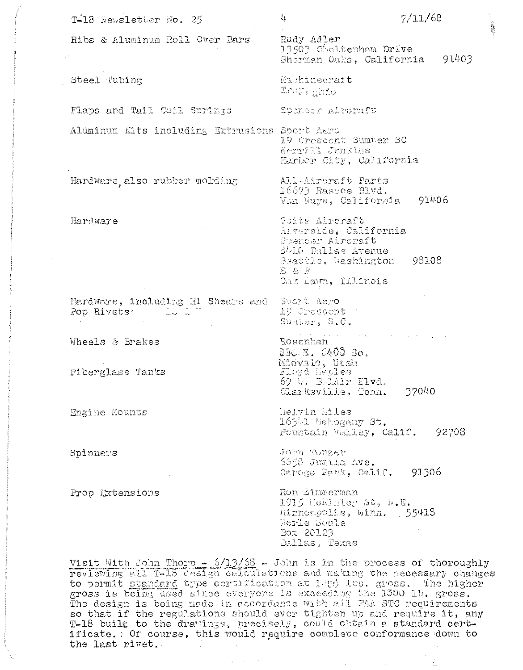| T-18 Newsletter No. 25                                                                                                                                                                                                                                                                                                                                                                                                                                                                                                                                                                                                | 4                                                                                                                                           | 7/11/68 |  |
|-----------------------------------------------------------------------------------------------------------------------------------------------------------------------------------------------------------------------------------------------------------------------------------------------------------------------------------------------------------------------------------------------------------------------------------------------------------------------------------------------------------------------------------------------------------------------------------------------------------------------|---------------------------------------------------------------------------------------------------------------------------------------------|---------|--|
| Ribs & Aluminum Roll Over Bars<br>$\mathcal{L}_\infty(\mathbb{R})$                                                                                                                                                                                                                                                                                                                                                                                                                                                                                                                                                    | Rudy Adler<br>13503 Choltenham Drive<br>Sherman Oaks, California                                                                            | 91403   |  |
| Steel Tubing                                                                                                                                                                                                                                                                                                                                                                                                                                                                                                                                                                                                          | Machineeraft<br>Trun <sub>s a</sub> hio                                                                                                     |         |  |
| Flaps and Tail Coil Springs                                                                                                                                                                                                                                                                                                                                                                                                                                                                                                                                                                                           | Spencer Aircraft                                                                                                                            |         |  |
| Aluminum Kits including Extrusions Sport Aero                                                                                                                                                                                                                                                                                                                                                                                                                                                                                                                                                                         | 19 Crescent Sumter SC<br>Merrill Jenkins<br>Harbor City, California                                                                         |         |  |
| Hardware also rubber molding                                                                                                                                                                                                                                                                                                                                                                                                                                                                                                                                                                                          | All-Aircraft Parts<br>16673 Bascoe Blvd.<br>Van Nuys, California                                                                            | 91406   |  |
| Hardware                                                                                                                                                                                                                                                                                                                                                                                                                                                                                                                                                                                                              | Stite Aircraft<br>Riverside, California<br>Spencer Aircraft<br>8410 Dallas Avenue<br>Seattle, Washington<br>$B$ & $F$<br>Oak Lawn, Illinois | -98108  |  |
| Hardware, including Hi Shears and Sport Aero<br>Pop Rivets and Lunch                                                                                                                                                                                                                                                                                                                                                                                                                                                                                                                                                  | 19 Cressent :<br>Sumter, S.C.                                                                                                               |         |  |
| Wheels & Brakes                                                                                                                                                                                                                                                                                                                                                                                                                                                                                                                                                                                                       | المتوازع والمستور والمستحدث والمتعارض والمتحدث والمتحافظ والمستحدث والمتحدث<br>Rosenhan<br>830 E. 6400 So.                                  |         |  |
| Fiberglass Tanks                                                                                                                                                                                                                                                                                                                                                                                                                                                                                                                                                                                                      | Midvalo, Utah<br>Floyd Haples<br>69 W. BelAir Elvd.<br>Glarksville, Tenn. 37040                                                             |         |  |
| Engine Mounts                                                                                                                                                                                                                                                                                                                                                                                                                                                                                                                                                                                                         | Helvin Eiles<br>16341 Mahogany St.<br>Fountain Valley, Calif. 92708                                                                         |         |  |
| Spinners                                                                                                                                                                                                                                                                                                                                                                                                                                                                                                                                                                                                              | John Tonzer<br>6658 Junila Ave.<br>Canoga Park, Calif. 91306                                                                                |         |  |
| Prop Extensions                                                                                                                                                                                                                                                                                                                                                                                                                                                                                                                                                                                                       | Ron Linmerman<br>1915 Hokinley St, N.E.<br>liinneapolis, Minn. 55418<br>Merle Soule<br>Box 20123<br>Dallas, Texas                           |         |  |
| Visit With John Thorp - $5/13/58$ - John is in the process of thoroughly<br>reviewing all T-13 design calculations and making the necessary changes<br>to permit standard type certification at 1806 lbs. gross. The higher<br>gross is being used since everyone is exaceding the 1300 lb. gross.<br>The design is being made in accordance with all FAA STC requirements<br>so that if the regulations should ever tighten up and require it, any<br>T-18 built to the drawings, precisely, could obtain a standard cert-<br>ificate. Of course, this would require complete conformance down to<br>the last rivet. |                                                                                                                                             |         |  |

 $\frac{1}{\mu}$ 

 $\hat{\boldsymbol{\beta}}$  $\frac{1}{2}$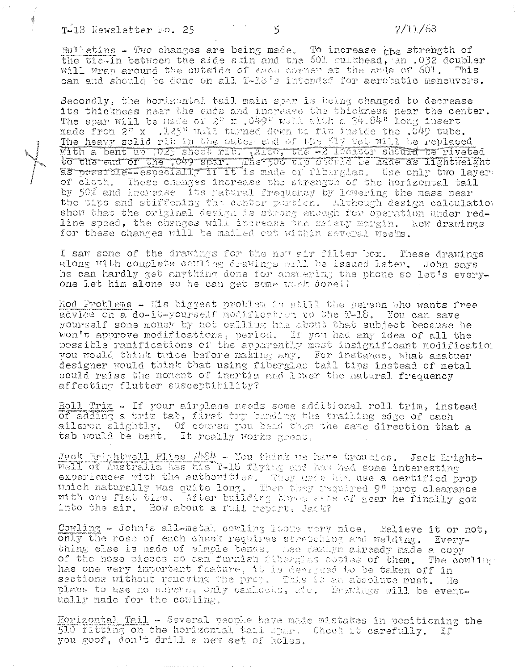Bulletins - Two changes are being made. To increase the strength of the tie-in between the side skin and the 501 bulkhead, an .032 doubler will wrap around the outside of each corner at the ends of 601. This can and should be done on all T-18's intended for aerobatic maneuvers.

Secondly, the horizontal tail main spar is being changed to decrease its thickness near the ends and increase the thickness near the center. The spar will be made of  $2^n$  x  $(049^n$  wall with a  $34.84^n$  long insert made from 2" x .125" wall turned down to fit inside the .049 tube. The heavy solid rib in the outer end of the fl? tab will be replaced<br>With a bent up .025 sheet rib. Also, the -2 locator should be riveted<br>to the end of the .049 spar. He-500 thp should be made as lightweight as persicle-especially it it is made of fiburglas. Use only two layer: of cloth. These changes increase the strangth of the horizontal tail by 50% and increase its natural frequency by lowering the mass near the tips and stiffening the center portion. Although design calculation show that the original design is strong enough for operation under redline speed, the changes will increase the safety margin. New drawings for these changes will be mailed out within several weeks.

I saw some of the drawings for the new air filter box. These drawings along with complete couling drawings will be issued later. John says he can hardly get anything done for ansuering the phone so let's everyone let him alone so he can get some work done!!

Mod Problems - His biggest problem is still the person who wants free advide on a do-it-yourself modification to the T-18. You can save yourself some money by not calling has about that subject because he won't approve modifications, period. If you had any idea of all the possible ramifications of the apparently most insignificant modification you would think twice before making any. For instance, what amatuer designer would think that using fiberglas tail tips instead of metal could raise the moment of inertia and lower the natural frequency affecting flutter susceptibility?

Roll Trim - If your airplane needs some additional roll trim, instead of adding a trim tab, first try berding the trailing edge of each aileron slightly. Of course you bend there the same direction that a tab would be bent. It really works great.

Jack Brightwell Flies #484 - You think we have troubles. Jack Eright-Well of Australia has his T-18 flying and has had some interesting experiences with the authorities. They made him use a certified prop which naturally was quite long. Then they required 9" prop clearance with one flat tire. After building three sets of gear he finally got into the air. How about a full report, Jack?

Cowling - John's all-metal cowling looks very nice. Believe it or not, only the rose of each cheek requires stretching and welding. Everything else is made of simple bends. Lee Hemign already made a copy of the nose pieces so can furnish fiberglas copies of them. The cowling has one very important feature, it is designed to be taken off in sections without removing the prop. This is an absolute must. He plans to use no screws, only cambedks, ate. Drakings will be eventually made for the cowling.

Horizontal Tail - Several people have made mistakes in positioning the 510 fitting on the horizontal tail spar. Check it carefully. If you goof, don't drill a new set of holes.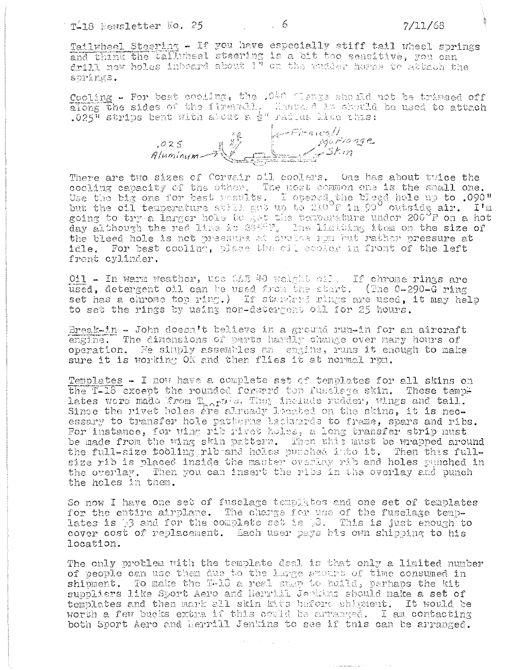# $T-18$  Newsletter No. 25 and 20  $\sim$  6

 $7/11/68$ 

Cooling - For best cooling, the .040 flange should not be trimmed off along the sides of the firevall. Ensure its should be used to attach<br>.025" strips bent with about a  $\frac{1}{2}$ " railus like this:

 $\frac{1}{\sqrt{25}}$ <br>Aluminum  $\frac{15}{25}$   $\frac{1}{25}$   $\frac{1}{25}$   $\frac{1}{25}$   $\frac{1}{25}$   $\frac{1}{25}$ 

There are two sizes of Corvair oil coolers. One has about twice the cooling capacity of the other. The most common one is the small one.<br>Use the big one for best results. I opened the bleed hole up to .090"<br>but the oil temperature still got up to 210<sup>0</sup>F in 90" outside air. I'm going to try a larger hole to get the temperature under 200 F on a hot day although the red line is 2450F, the limiting item on the size of the bleed hole is not pressure at orulas rom but rather pressure at idle. For best cooling, place the cil sector in front of the left front cylinder.

011 - In warm weather, use 2AE 40 weight oil. If chrome rings are used, detergent oil can be used from the start. (The 0-290-G ring set has a chrome top ring.) If standerd rings are used, it may help to set the rings by using non-detergent oil for 25 hours.

Break-in - John doesn't believe in a ground run-in for an aircraft engine. The dimensions of parts hardly change over many hours of operation. He simply assembles an engine, runs it enough to make sure it is working OK and then flies it at normal rpm.

Templates - I now have a complete set of templates for all skins on the T-18 except the rounded forward top fusslage skin. These templates wore made from T<sub>hor</sub>p's. They include rudder, wings and tail.<br>Since the rivet holes are already located on the skins, it is necessary to transfer hole patterns backmards to frame, spars and ribs. For instance, for wing rib rivet holes, a long transfer strip must be made from the wing skin pattern. Then this must be wrapped around the full-size tooling ribend holes punched into it. Then this fullsize rib is placed inside the master overlay rib and holes punched in the overlay. Then you can insert the ribs in the overlay and punch the holes in them.

So now I have one set of fusclage templates and one set of templates for the entire airplane. The charge for use of the fuselage temp-<br>lates is 03 and for the complete set is 03. This is just enough to cover cost of replacement. Each user pays his own shipping to his location.

The only problem with the template deal is that only a limited number of people can use them due to the large acount of time consumed in shipment. To make the T-18 a real sump to build, perhaps the kit suppliers like Sport Aero and Herrill Jerlins should make a set of templates and then mark all skin kits before shipment. It would be worth a few bucks extra if this could be arranged. I am contacting both Sport Aero and Merrill Jenkins to see if this can be arranged.

 $\mathcal{O}(\mathcal{O}^2)$  .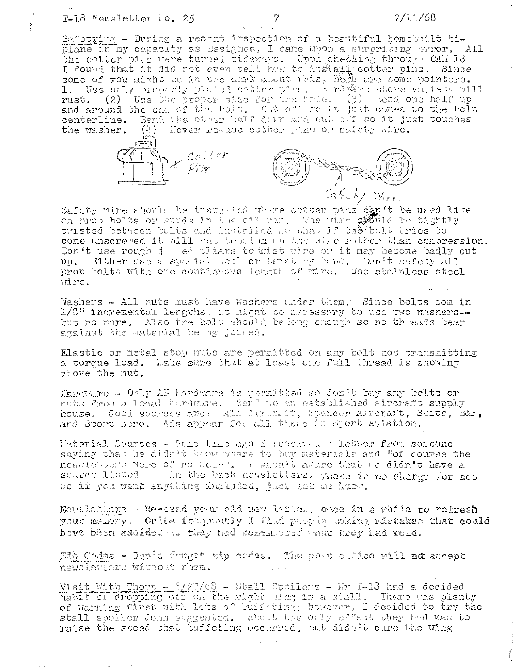## $7/11/68$

Safetying - During a recent inspection of a beautiful homebuilt biplane in my capacity as Designee, I came upon a surprising error. All the cotter pins were turned sideways. Upon checking through CAM 18 I found that it did not even tell how to install cotter pins. Since some of you might be in the dark about this, hene are some pointers. 1. Use only properly plated cotter time. Eardware store variety will rust. (2) Use the proper size for the bold. (3) Bend one half up and around the end of the bolt. Out off so it just comes to the bolt centerline. Bend the other half down and out off so it just touches  $(l)$  lever re-use cotter pins or safety wire. the washer.



Safety wire should be installed where cotter pins dan't be used like<br>on prop bolts or studs in the oil pan. Whe wire stould be tightly tuisted between bolts and installed so that if the bolt tries to come unscrewed it will put tancion on the wire rather than compression. Don't use rough j ed pliars to wist wire or it may become badly out up. Either use a special tool or twist by hand. Don't safety all prop bolts with one continuous length of wire. Use stainless steel wire.

Washers - All nuts must have washers under them. Since bolts com in 1/8" incremental lengths, it might be necessary to use two mashers-but no more. Also the bolt should be long enough so no threads bear against the material being joined.

Elastic or metal stop nuts are permitted on any bolt not transmitting a torque load. Hake sure that at least one full thread is showing above the nut.

Hardware - Only AF hardware is permitted so don't buy any bolts or nuts from a local hardware. Send to an established aircraft supply house. Good sources are: All-Airbraft, Spencer Aircraft, Stits, B&F, and Sport Aero. Ads appear for all these in Sport Aviation.

Material Sources - Some time ago I reseived a letter from someone saying that he didn't know where to buy materials and "of course the newsletters were of no help". I wasn't aware that we didn't have a source listed in the back newsletters. There is no charge for ads so if you want anything included, just hat me know.

Newsletters - Re-read your old newsletter: once in a while to refresh your memory. Cuite frequently I find prople making mistakes that could have been axoided is they had romestored what they had road.

ZZh Codes - Runit forget sip codes. The poet biddee will not accept newsletters without them.

Visit With Thorp - 6/27/63 - Stall Spoilers - My 1-18 had a decided habit of dropping off on the right wing in a stall. There was plenty of warning first with lots of buffeting; however, I decided to try the stall spoiler John suggested. About the only effect they had was to raise the speed that buffeting occurred, but didn't cure the wing

7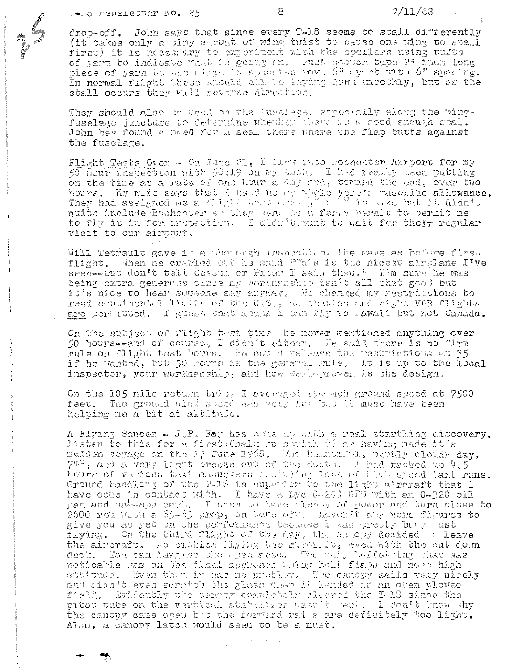8

drop-off. John says that since every T-18 seems to stall differently (it takes only a tiny anount of wing twist to cause one wing to stall first) it is necessary to experiment with the spoilers using tufts of yarm to indicate what is going on. Just scotch tape 2" inch long piece of yarn to the wings in spannise rows 6" apart with 6" spacing. In normal flight these should all be laying down smoothly, but as the stall occurs they will reverse direction.

They should also be used on the fusclass, erneotally along the wingfuselage juncture to determine whether there as a good enough seal. John has found a need for a scal there where the flap butts against the fuselage.

Flight Tests Over - On June 21, I flew into Rochester Airport for my 50 hour inspection with 50:19 on my tach. I had really been putting on the time at a rate of one hour a day and, toward the end, over two hours. My wife says that I used up my whole year's gaseline allowance.<br>They had assigned me a flight test area  $\frac{1}{2}$  x 1<sup>2</sup> in size but it didn't quite include Rochester so they sent us a ferry permit to permit me to fly it in for inspection. I didn't want to wait for their regular visit to our airport.

Will Tetrault gave it a thorough inspection, the same as before first flight. When he crawled out he said "This is the nicest airplane I've seen--but don't tell Cessna or Piper I said that." I'm sure he was being extra generous since my worknesseip isn't all that good but it's nice to hear sousone say anyony. He changed my restrictions to read continental limits of the U.S., surperties and night VFR flights are permitted. I guess that means I can fly to Hawaii but not Canada.

On the subject of flight test time, he never mentioned anything over 50 hours--and of course, I didn't sither. He said there is no firm rule on flight test hours. He could release the restrictions at 35 if he wanted, but 50 hours is the general rule. It is up to the local inspector, your workmanship, and how well-proven is the design.

On the 105 mile return trip, I everaged 194 mph ground speed at 7500 feet. The ground wind speed was very low but it must have been helping me a bit at altitude.

A Flying Saucer - J.P. Fay has come up with a real starthing discovery. Listen to this for a first: Chalk up serial #6 as having made it's allowing to the 17 June 1968. Was beautiful, partly cloudy day,  $740$ , and a very light breeze out of the South. I had racked up  $4.5$ hours of various taxi manuevers including lots of high speed taxi runs. Ground handling of the T-18 is superier to the light aircraft that I have come in contact with. I have a Lye 0-290 GPU with an 0-320 oil pan and ma $k$ -spa carb. I seem to have plenty of power and turn close to 2600 rpm with a 65-65 prop, on take off. Haven't any more figures to give you as yet on the performance because I was pretty bray just flying. On the third flight of the day, the camepy decided to leave the aircraft. No problem flying the alreraft, even with the out down deck. You can imagine the open area. The only buffewting that was neticable was on the final approach using half flaps and nose high attitude. Even then it was no prothes. The canopy sails very nicely and didn't even scratch the glass when it landed in an open plowed field. Evidently the camepy completely aleared the I-18 since the pitot tube on the vertical statilizer wasn't bent. I don't know why the canopy came open but the forward rails are definitely too light. Also, a canopy latch would seem to be a must.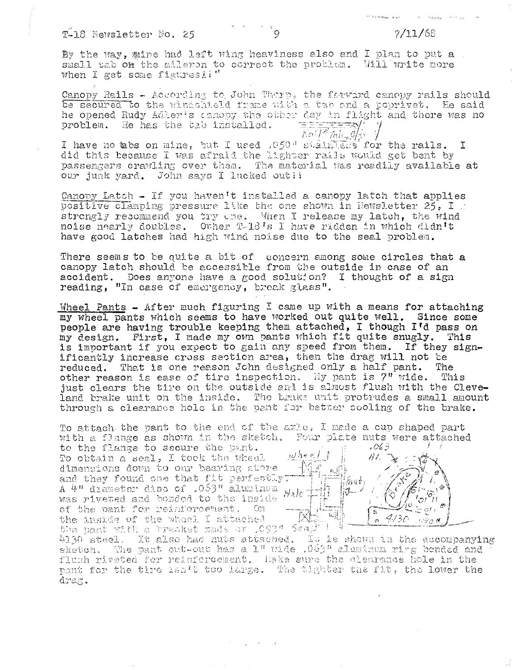By the way, mine had left wing heaviness also and I plan to put a small tab on the alleron to correct the problem. Will write more when I get some figuresi!"

Canopy Rails - According to John There, the forwird canopy rails should be secured to the windshield frame with a tab and a poprivet. He said he opened Rudy Adler's danopy the other day in flight and there was no problem. He has the tab installed. <u> "="="="="ੜਨ\/</u>  $I$ ai $I^2$ Tab $\mathscr{A}_{\mathcal{F}}$ 

I have no tabs on mine, but I used .050" stain the rails.  $\mathbf{T}$ did this because I was afraid the lighter rails would get bent by passengers crawling over them. The material was readily available at our junk yard. John says I lucked out!!

Canopy Latch - If you haven't installed a canopy latch that applies positive clamping pressure like the one shown in Newsletter 25, I .. strongly recommend you try one. When I release my latch, the wind noise nearly doubles. Other T-18's I have ridden in which didn't have good latches had high wind noise due to the seal problem.

There seems to be quite a bit of concern among some circles that a canopy latch should be accessible from the outside in case of an accident. Does anyone have a good solution? I thought of a sign reading, "In case of emergency, break glass".

Wheel Pants - After much figuring I came up with a means for attaching my wheel pants which seems to have worked out quite well. Since some people are having trouble keeping them attached, I though I'd pass on my design. First, I made my own pants which fit quite snugly. This is important if you expect to gain any speed from them. If they significantly increase cross section area, then the drag will not be reduced. That is one reason John designed only a half pant. The other reason is ease of tire inspection. My pant is 7" wide. This just clears the tire on the outside and is almost flush with the Cleveland brake unit on the inside. The brake unit protrudes a small amount through a clearance hole in the pant for better cooling of the brake.

To attach the pant to the end of the axle, I made a cup shaped part with a flange as shown in the sketch. Four plate nuts were attached

to the flange to secure the pant. To obtain a seal, I took the wheel dimensions down to our bearing store and they found one that fit perfectly: A 4" diameter disc of .053" aluminum was riveted and bonded to the inside of the pant for reinforcement, On the inside of the whoel I attached the pant with a tracket made or 1093" Scall !



4130 steel. It also had nuts attached. It is shown in the accompanying sketch. The pant cut-out has a  $1$ " wide  $0.063$ " aluminum ring bonded and flush riveted for reinforcement. Hake sure the clearance hole in the pant for the tire isn't too large. The tighter the fit, the lower the  $d$ rag.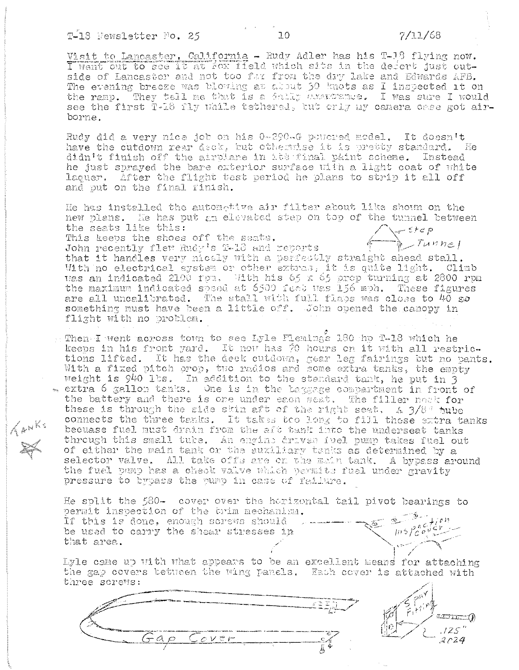KANKS

Visit to Lancaster, California - Rudy Adler has his T-18 flying now. I went out to see it at fox field which sits in the defert just outside of Lancaster and not too far from the dry lake and Edwards AFB. The evening breeze was blowing at about 30 knots as I inspected it on the ramp. They tell me that is a failty axamitate. I was sure I would see the first T-18 fly while tethered, but only my canera case got airborne.

Rudy did a very nice job on his 0-290-G powered model. It doesn't have the cutdown near deck, but otherwise it is pretty standard. He didn't finish off the airplane in its final paint scheme. Instead he just sprayed the bare exterior surface with a light coat of white laquer. After the flight test period he plans to strip it all off and put on the final rinish.

He has installed the automotive air filter about like shown on the new plans. He has put an elevated step on top of the tunnel between Step<br>Primmel the seats like this: This keeps the shoes off the seats. John recently flew Rudy's T-18 and reports that it handles very nicely with a perfectly straight ahead stall. With no electrical system or other extras, it is quite light. Climb was an indicated 2100 fpm. With his 65 x 65 prop turning at 2800 rpm the maximum indicated speed at 6500 feed was 156 mph. These figures are all uncalibrated. The stall with full flaps was close to 40 go something must have been a little off. John opened the canopy in flight with no problem.

. Then I went across town to see Lyle Fiemings 130 hp T-18 which he keeps in his front yard. It now has 70 hours on it with all restrictions lifted. It has the deck cutdown, gear leg fairings but no pants. With a fixed pitch prop, two radios and some extra tanks, the empty weight is 940 lbs. In addition to the standard tank, he put in 3  $\sim$  extra 6 gallon tanks. One is in the taggage compartment in front of the battery and there is one under each seat. The filler nock for these is through the side skin aft of the right seat,  $\Lambda$  3/8° tube connects the three tanks. It takes too long to fill these extra tanks becuase fuel must drain from the aft tank into the underseat tanks through this small tube. An engine driven fuel pump takes fuel out of either the main tank or the euxiliary tanks as determined by a selector valve. All take offs are on the main tank. A bypass around the fuel pump has a check valve which permits fuel under gravity pressure to bypass the pump in case of failure.

He split the 580- cover over the horizontal tail pivot bearings to permit inspection of the trim mechanism. Ljon If this is done, enough screws should b  $m5$   $\frac{66}{60}$  $j \in V$ . be used to carry the shear stresses in that area.

Lyle came up with what appears to be an excellent means for attaching the gap covers between the wing panels. Each cover is attached with three sorews:



ا استقلالات  $.125$ 2024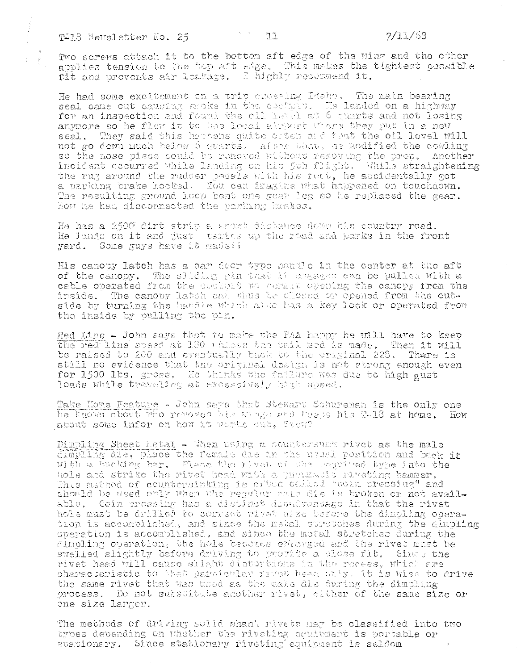Two screws attach it to the bottom aft edge of the wing and the other applies tension to the top aft edge. This makes the tightest possible fit and prevents air leakage. I highly resemmend it.

 $\mathbb{Z}^2$  ,  $\mathbb{Z}^2$  ,  $\mathbb{Z}^2$  ,  $\mathbb{Z}^2$ 

He had some excitement on a trip enesting Idaho. The main bearing seal cane out causing shoke in the cochpit. He landed on a highway anymore so he flew it to bee local atmost where they put in a new seal. They said this happens quite orten and that the oil level will not go down much below 6 quarts. After that, as modified the cowling so the nose piese could be removed without removing the prop. Another incident cocurred while landing on his foh flight. While straightening the rug around the rudder pedals with his foot, he accidentally got a parking brake Looked. You can iragins what hoppened on touchdown. The resulting ground loop bent one gear leg so he replaced the gear. Now he had disconnected the parking brakes.

He has a 2500 dirt strip a short distance down his country road. He lands on it and tust vertes up the road and parks in the front yard. Some guys have it madell

His canopy latch has a car door type handle in the center at the aft of the canopy. The sliding pin that it angages can be pulled with a cable operated from the essayst wo obrain opening the canopy from the inside. The canopy latch can thus be alossed or opened from the outside by turning the handie which also has a key look or operated from the inside by pulling the pin.

Red Line - John says that to make the FAA happy he will have to keep the red line speed at 180 thisks the tail ned is made. Then it will be raised to 200 and eventually back to the original 228. There is still no evidence that the original design is not strong enough even for 1500 lbs. gross. He thinks the failure was due to high gust loads while traveling at excessively high speed.

Take Home Feature - John says that Stewart Schureman is the only one he knows about who removes his wangs and keeps his R-18 at hone. How about some infor on how it works out, Stow?

Dimpling Sheet Hetal - When using a countersumb rivet as the male dimbling die. Disce the formis die in the usual position and back in with a bucking bar. Thace the rivet of the required type into the hole and strike the rivet head with a pertuants riveting hammer.<br>This mathed of countersinking is otten called "coin pressing" and should be used only when the regular mais die is broken or not available. Coin pressing has a distinct disadvantage in that the rivet hole must be arilled to correct rivet size before the dimpling operation is accomplished, and since the matal suretches during the dimpling operation is accomplished, and since the metal stretches during the dimpling operation, the hole becomes enterged and the rivet must be swelled slightly before driving to provide a close fit. Since the rivet head will cause shight distortions in the recess. which are characteristic to that parcicular rivet head only, it is wise to drive the same rivet that was used as the male die during the dimuling process. Do not substitute another rivet, either of the same size or one size larger.

The methods of driving solid shank rivets nay be classified into two types depending on whether the riveting equiument is portable or stationary. Since stationary riveting equipment is seldom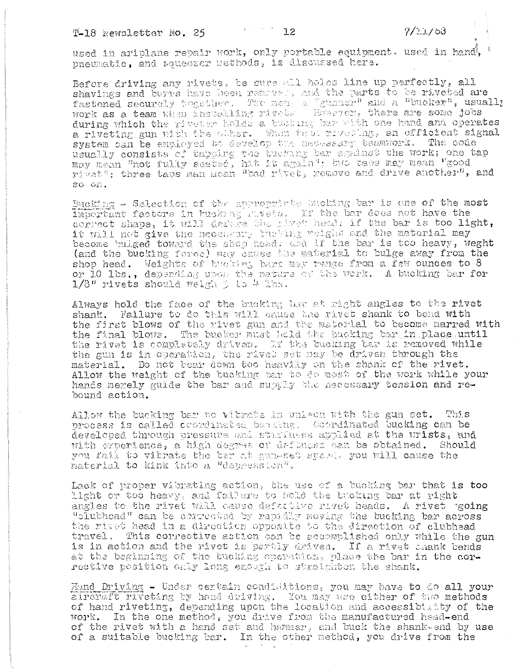used in ariplane repair work, only portable equipment. used in hand, pneumatic. and squeezer methods, is discussed here.

Before driving any rivets, be sure all holes line up perfectly, all shavings and burns have been removel, and the parts to be riveted are fastened securely teacher. The men. a "gunner" and a "bucker", usually during which the riveter holds a busking bar with one hand and operates a riveting gun with the other. When test riveting, an efficient signal system can be employed bo develop the necessary teamwork. The code usually consists of tapping the busking bar against the work; one tap may mean "not fully seated, hit it again"; two taps may mean "good rivat"; three taps man moan "bad rivet, remove and drive another", and so on.

Bucking - Salection of the anonomiste bucking bar is one of the most Important factors in hucking mother. If the bar does not have the correct shape, it will derain the rivet head. if the bar is too light, it will net give the necessary busking weight and the material may become bulged toward the shop head: and if the bar is too heavy, weght (and the bucking force) may cause the material to bulge away from the shop head. Weights of bucking bars may renge from a few ounces to 8 or 10 lbs., depending upon the nature of the work. A bucking bar for 1/8" rivets should welgh 3 to 4 lbs.

Always hold the face of the bucking bur at right angles to the rivet shank. Failure to do this will cause the rivet shank to bend with the first blows of the rivet gun and the material to become marred with the final blows. The bucker must hold the bucking bar in place until<br>the rivet is completely driven. If the bucking bar is removed while the gun is in operation, the rivet set may be driven through the material. Do not bear down too heavily on the shank of the rivet. Allow the weight of the bucking bar to do most of the work while your hands merely guide the bar and supply the necessary tension and rebound action.

Allow the bucking bar no vibrate in unison with the gun set. This process is called coordinated burking. Coordinated bucking can be developed through pressure and starfiness applied at the wrists, and with experience, a high degree of defunces can be obtained. Should you fail to vibrate the bar at gun-set speed, you will cause the material to kink into a "depression".

Lack of proper vibrating action, the use of a bucking bar that is too light or too heavy, and failure to hold the bucking bar at right angles to the rivet will cause defective rivet heads. A rivet going "olubhead" can be corrected by rapidly noving the bucking bar across the rivet head in a direction opposite to the direction of clubhead travel. This corrective action can be accomplished only while the gun is in action and the rivet is partly driven. If a rivet shank bends at the beginning of the bucking operation, place the bar in the corrective position only long enough to straighten the shank.

Hand Driving - Under certain condistions, you may have to do all your airevaft riveting by hand driving, You may use either of two methods of hand riveting, depending upon the location and accessibility of the work. In the one method, you drive from the manufactured head-end of the rivet with a hand set and hammer, and buck the shank-end by use of a suitable bucking bar. In the other method, you drive from the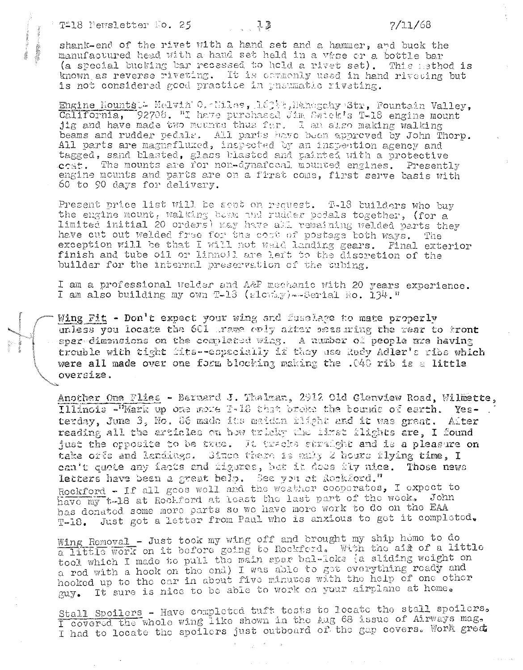shank-end of the rivet with a hand set and a hammer, and buck the manufactured head with a hand set held in a vise or a bottle bar (a special bucking bar recessed to hold a rivet set). This method is known as reverse riveting. It is cornerly used in hand riveting but is not considered good practice in preumatic riveting.

Engine Nountst. Melvin O. Miles, 163%, Nanogahy Str, Pountain Valley, California, 92708. "I have purchased Jim Swiek's T-18 engine mount jig and have made two mounts thus fer. I am also making walking beams and rudder vedals. All parts have been approved by John Thorp. All parts are magnafluzed, inspected by an inspection agency and tagged, sand blasted, glass blasted and painted with a protective  $cost.$  The mounts are for non-dynafocal mounted engines. Presently engine mounts and parts are on a first come, first serve basis with 60 to 90 days for delivery.

Present price list will be sent on request. T-18 builders who buy the engine mount, walking beem and rudder pedals together, (for a limited initial 20 orders) may have all remaining welded parts they have cut out welded free for the cost of postage both ways. The exception will be that I will not weld landing gears. Final exterior finish and tube oil or linnoil are left to the discretion of the builder for the internal preservation of the tubing.

I am a professional welder and A&P mechanic with 20 years experience. I am also building my own T-13 (slowing) --Serial Ro. 134."

Wing Fit - Don't expect your wing and fusclage to mate properly unless you locate the 601 trame only after measuring the rear to front sparedimensions on the completed wing. A number of people are having trouble with tight fits--especially if they use Rody Adler's ribe which were all made over one form blocking making the .040 rib is a little oversize.

Another One Flies - Bermard J. Thalman, 2912 Old Glenview Road, Wilmette, Illinois -"Mark up one mome T-18 that breke the bounds of earth. Yesterday, June 3, No. 86 made its maiden ilight and it was great. After reading all the articles on how tricky the lizet ilights are, I found just the opposite to be true. It tracks straight and is a pleasure on take offs and landings. Since there is maky 2 hours flying time, I can't quote any facts and figures, but it does fly nice. Those news letters have been a great help. See you at Rockford." Rockford - If all goos woll and the weather cooperates, I expect to have my t-18 at Rockford at least the last part of the week. John has donated some more parts so we have more work to do on the EAA T-18. Just got a letter from Paul who is anxious to get it completed.

Wing Removal - Just took my wing off and brought my ship home to do a little work on it before going to Rockferd. With the air of a little tool which I made to pull the main spar bal-loks (a sliding weight on a rod with a hook on the end) I was able to get everything ready and hooked up to the car in about five minutes with the help of one other It sure is nice to be able to work on your airplane at home.  $GUY$ .

Stall Spoilers - Have completed tuft tests to locate the stall spoilers. I covered the whole wing like shown in the Aug 68 issue of Airways mag, I had to locate the spoilers just outboard of the gap covers. Work great